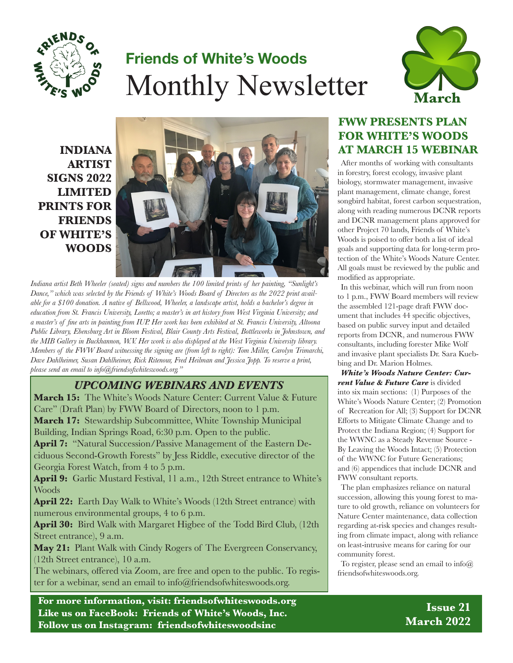

# **Friends of White's Woods** Monthly Newsletter



**INDIANA ARTIST SIGNS 2022 LIMITED PRINTS FOR FRIENDS OF WHITE'S WOODS**



*Indiana artist Beth Wheeler (seated) signs and numbers the 100 limited prints of her painting, "Sunlight's Dance," which was selected by the Friends of White's Woods Board of Directors as the 2022 print available for a \$100 donation. A native of Bellwood, Wheeler, a landscape artist, holds a bachelor's degree in education from St. Francis University, Loretto; a master's in art history from West Virginia University; and a master's of fine arts in painting from IUP. Her work has been exhibited at St. Francis University, Altoona Public Library, Ebensburg Art in Bloom Festival, Blair County Arts Festival, Bottleworks in Johnstown, and the MIB Gallery in Buckhannon, W.V. Her work is also displayed at the West Virginia University library. Members of the FWW Board witnessing the signing are (from left to right): Tom Miller, Carolyn Trimarchi, Dave Dahlheimer, Susan Dahlheimer, Rick Ritenour, Fred Heilman and Jessica Jopp. To reserve a print, please send an email to info@friendsofwhiteswoods.org."*

#### *UPCOMING WEBINARS AND EVENTS*

**March 15:** The White's Woods Nature Center: Current Value & Future Care" (Draft Plan) by FWW Board of Directors, noon to 1 p.m.

**March 17:** Stewardship Subcommittee, White Township Municipal Building, Indian Springs Road, 6:30 p.m. Open to the public.

**April 7:** "Natural Succession/Passive Management of the Eastern Deciduous Second-Growth Forests" by Jess Riddle, executive director of the Georgia Forest Watch, from 4 to 5 p.m.

April 9: Garlic Mustard Festival, 11 a.m., 12th Street entrance to White's **Woods** 

**April 22:** Earth Day Walk to White's Woods (12th Street entrance) with numerous environmental groups, 4 to 6 p.m.

April 30: Bird Walk with Margaret Higbee of the Todd Bird Club, (12th) Street entrance), 9 a.m.

**May 21:** Plant Walk with Cindy Rogers of The Evergreen Conservancy, (12th Street entrance), 10 a.m.

The webinars, offered via Zoom, are free and open to the public. To register for a webinar, send an email to info@friendsofwhiteswoods.org.

**For more information, visit: friendsofwhiteswoods.org Like us on FaceBook: Friends of White's Woods, Inc. Follow us on Instagram: friendsofwhiteswoodsinc**

### **FWW PRESENTS PLAN FOR WHITE'S WOODS AT MARCH 15 WEBINAR**

After months of working with consultants in forestry, forest ecology, invasive plant biology, stormwater management, invasive plant management, climate change, forest songbird habitat, forest carbon sequestration, along with reading numerous DCNR reports and DCNR management plans approved for other Project 70 lands, Friends of White's Woods is poised to offer both a list of ideal goals and supporting data for long-term protection of the White's Woods Nature Center. All goals must be reviewed by the public and modified as appropriate.

In this webinar, which will run from noon to 1 p.m., FWW Board members will review the assembled 121-page draft FWW document that includes 44 specific objectives, based on public survey input and detailed reports from DCNR, and numerous FWW consultants, including forester Mike Wolf and invasive plant specialists Dr. Sara Kuebbing and Dr. Marion Holmes.

*White's Woods Nature Center: Current Value & Future Care* is divided into six main sections: (1) Purposes of the White's Woods Nature Center; (2) Promotion of Recreation for All; (3) Support for DCNR Efforts to Mitigate Climate Change and to Protect the Indiana Region; (4) Support for the WWNC as a Steady Revenue Source - By Leaving the Woods Intact; (5) Protection of the WWNC for Future Generations; and (6) appendices that include DCNR and FWW consultant reports.

The plan emphasizes reliance on natural succession, allowing this young forest to mature to old growth, reliance on volunteers for Nature Center maintenance, data collection regarding at-risk species and changes resulting from climate impact, along with reliance on least-intrusive means for caring for our community forest.

To register, please send an email to  $info(\hat{a})$ friendsofwhiteswoods.org.

> **Issue 21 March 2022**